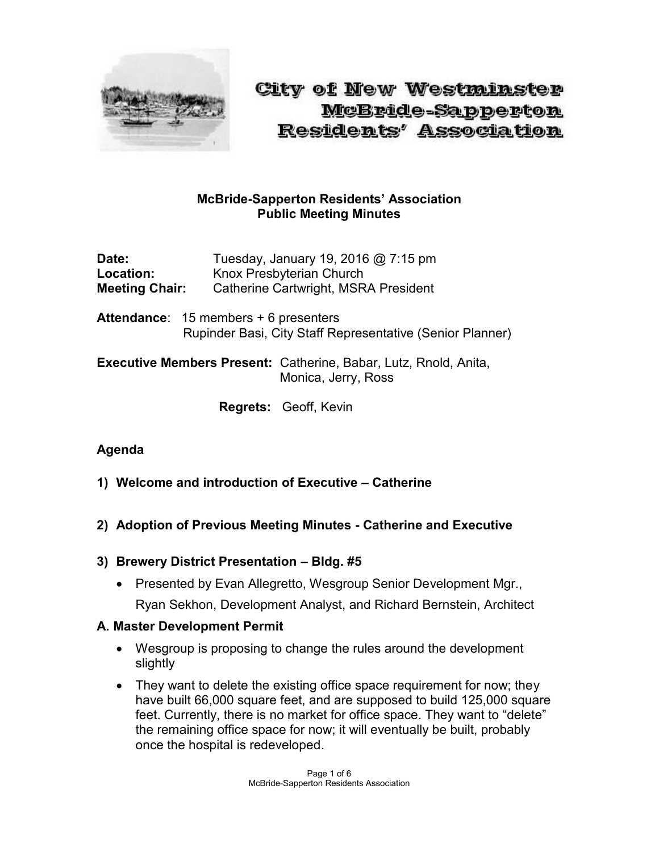

City of New Westminster McBride-Sapperton Residents' Association

## **McBride-Sapperton Residents' Association Public Meeting Minutes**

**Date:** Tuesday, January 19, 2016 @ 7:15 pm Location: Knox Presbyterian Church **Meeting Chair:** Catherine Cartwright, MSRA President

**Attendance**: 15 members + 6 presenters Rupinder Basi, City Staff Representative (Senior Planner)

**Executive Members Present:** Catherine, Babar, Lutz, Rnold, Anita, Monica, Jerry, Ross

**Regrets:** Geoff, Kevin

#### **Agenda**

- **1) Welcome and introduction of Executive – Catherine**
- **2) Adoption of Previous Meeting Minutes - Catherine and Executive**
- **3) Brewery District Presentation – Bldg. #5**
	- Presented by Evan Allegretto, Wesgroup Senior Development Mgr., Ryan Sekhon, Development Analyst, and Richard Bernstein, Architect

#### **A. Master Development Permit**

- Wesgroup is proposing to change the rules around the development slightly
- They want to delete the existing office space requirement for now; they have built 66,000 square feet, and are supposed to build 125,000 square feet. Currently, there is no market for office space. They want to "delete" the remaining office space for now; it will eventually be built, probably once the hospital is redeveloped.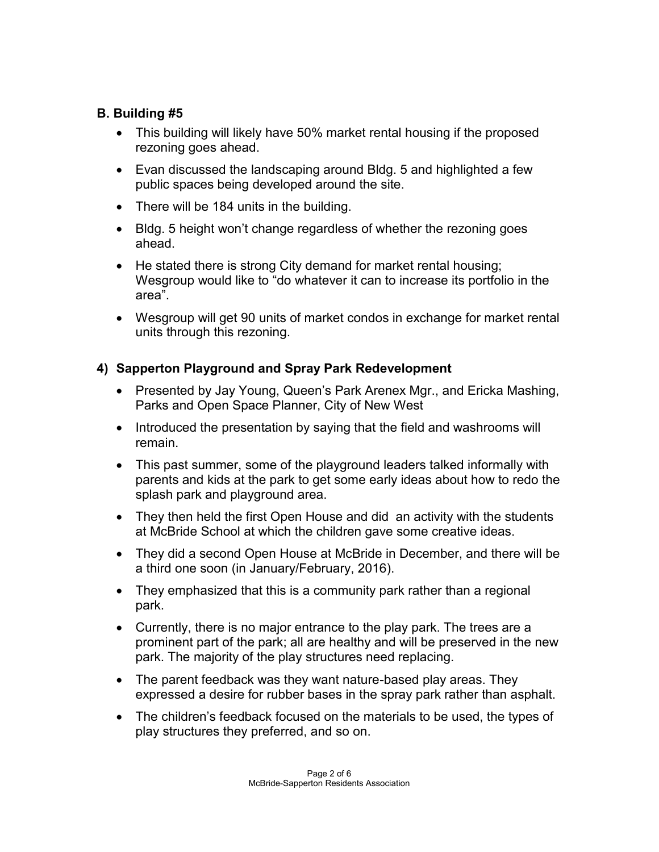## **B. Building #5**

- This building will likely have 50% market rental housing if the proposed rezoning goes ahead.
- Evan discussed the landscaping around Bldg. 5 and highlighted a few public spaces being developed around the site.
- There will be 184 units in the building.
- Bldg. 5 height won't change regardless of whether the rezoning goes ahead.
- He stated there is strong City demand for market rental housing; Wesgroup would like to "do whatever it can to increase its portfolio in the area".
- Wesgroup will get 90 units of market condos in exchange for market rental units through this rezoning.

# **4) Sapperton Playground and Spray Park Redevelopment**

- Presented by Jay Young, Queen's Park Arenex Mgr., and Ericka Mashing, Parks and Open Space Planner, City of New West
- Introduced the presentation by saying that the field and washrooms will remain.
- This past summer, some of the playground leaders talked informally with parents and kids at the park to get some early ideas about how to redo the splash park and playground area.
- They then held the first Open House and did an activity with the students at McBride School at which the children gave some creative ideas.
- They did a second Open House at McBride in December, and there will be a third one soon (in January/February, 2016).
- They emphasized that this is a community park rather than a regional park.
- Currently, there is no major entrance to the play park. The trees are a prominent part of the park; all are healthy and will be preserved in the new park. The majority of the play structures need replacing.
- The parent feedback was they want nature-based play areas. They expressed a desire for rubber bases in the spray park rather than asphalt.
- The children's feedback focused on the materials to be used, the types of play structures they preferred, and so on.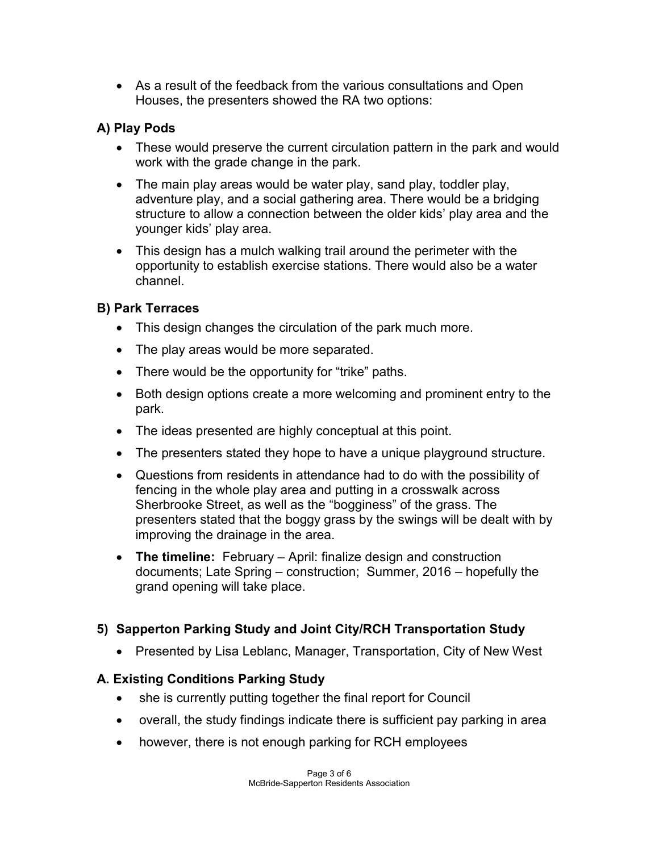As a result of the feedback from the various consultations and Open Houses, the presenters showed the RA two options:

# **A) Play Pods**

- These would preserve the current circulation pattern in the park and would work with the grade change in the park.
- The main play areas would be water play, sand play, toddler play, adventure play, and a social gathering area. There would be a bridging structure to allow a connection between the older kids' play area and the younger kids' play area.
- This design has a mulch walking trail around the perimeter with the opportunity to establish exercise stations. There would also be a water channel.

# **B) Park Terraces**

- This design changes the circulation of the park much more.
- The play areas would be more separated.
- There would be the opportunity for "trike" paths.
- Both design options create a more welcoming and prominent entry to the park.
- The ideas presented are highly conceptual at this point.
- The presenters stated they hope to have a unique playground structure.
- Questions from residents in attendance had to do with the possibility of fencing in the whole play area and putting in a crosswalk across Sherbrooke Street, as well as the "bogginess" of the grass. The presenters stated that the boggy grass by the swings will be dealt with by improving the drainage in the area.
- **The timeline:** February April: finalize design and construction documents; Late Spring – construction; Summer, 2016 – hopefully the grand opening will take place.

# **5) Sapperton Parking Study and Joint City/RCH Transportation Study**

• Presented by Lisa Leblanc, Manager, Transportation, City of New West

# **A. Existing Conditions Parking Study**

- she is currently putting together the final report for Council
- overall, the study findings indicate there is sufficient pay parking in area
- however, there is not enough parking for RCH employees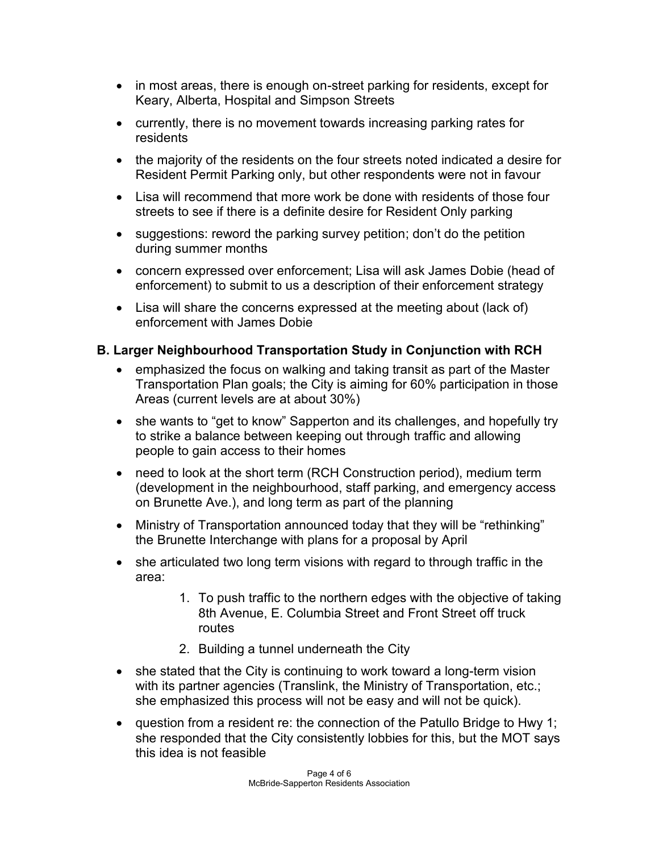- in most areas, there is enough on-street parking for residents, except for Keary, Alberta, Hospital and Simpson Streets
- currently, there is no movement towards increasing parking rates for residents
- the majority of the residents on the four streets noted indicated a desire for Resident Permit Parking only, but other respondents were not in favour
- Lisa will recommend that more work be done with residents of those four streets to see if there is a definite desire for Resident Only parking
- suggestions: reword the parking survey petition; don't do the petition during summer months
- concern expressed over enforcement; Lisa will ask James Dobie (head of enforcement) to submit to us a description of their enforcement strategy
- Lisa will share the concerns expressed at the meeting about (lack of) enforcement with James Dobie

# **B. Larger Neighbourhood Transportation Study in Conjunction with RCH**

- emphasized the focus on walking and taking transit as part of the Master Transportation Plan goals; the City is aiming for 60% participation in those Areas (current levels are at about 30%)
- she wants to "get to know" Sapperton and its challenges, and hopefully try to strike a balance between keeping out through traffic and allowing people to gain access to their homes
- need to look at the short term (RCH Construction period), medium term (development in the neighbourhood, staff parking, and emergency access on Brunette Ave.), and long term as part of the planning
- Ministry of Transportation announced today that they will be "rethinking" the Brunette Interchange with plans for a proposal by April
- she articulated two long term visions with regard to through traffic in the area:
	- 1. To push traffic to the northern edges with the objective of taking 8th Avenue, E. Columbia Street and Front Street off truck routes
	- 2. Building a tunnel underneath the City
- she stated that the City is continuing to work toward a long-term vision with its partner agencies (Translink, the Ministry of Transportation, etc.; she emphasized this process will not be easy and will not be quick).
- question from a resident re: the connection of the Patullo Bridge to Hwy 1; she responded that the City consistently lobbies for this, but the MOT says this idea is not feasible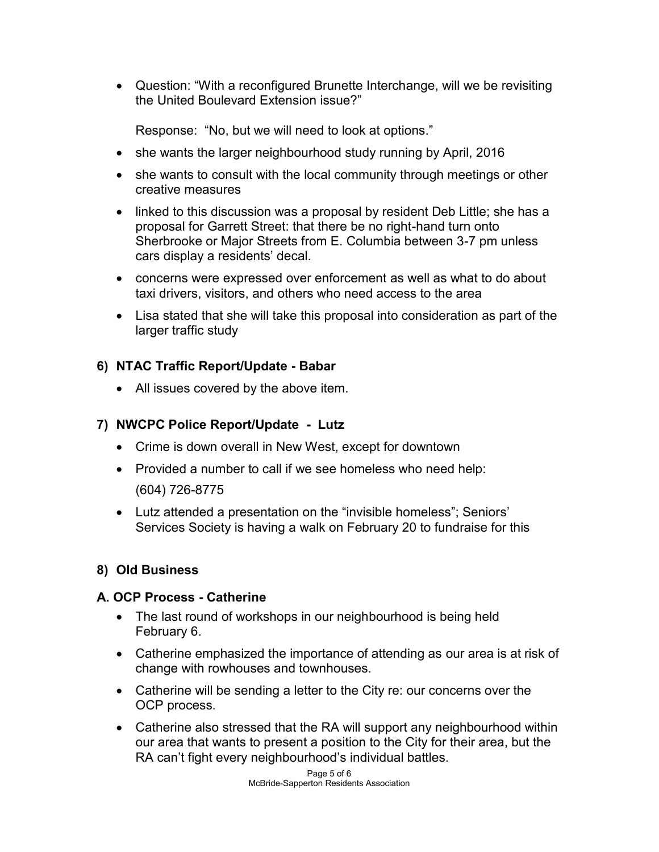Question: "With a reconfigured Brunette Interchange, will we be revisiting the United Boulevard Extension issue?"

Response: "No, but we will need to look at options."

- she wants the larger neighbourhood study running by April, 2016
- she wants to consult with the local community through meetings or other creative measures
- linked to this discussion was a proposal by resident Deb Little; she has a proposal for Garrett Street: that there be no right-hand turn onto Sherbrooke or Major Streets from E. Columbia between 3-7 pm unless cars display a residents' decal.
- concerns were expressed over enforcement as well as what to do about taxi drivers, visitors, and others who need access to the area
- Lisa stated that she will take this proposal into consideration as part of the larger traffic study

## **6) NTAC Traffic Report/Update - Babar**

• All issues covered by the above item.

## **7) NWCPC Police Report/Update - Lutz**

- Crime is down overall in New West, except for downtown
- Provided a number to call if we see homeless who need help: (604) 726-8775
- Lutz attended a presentation on the "invisible homeless"; Seniors' Services Society is having a walk on February 20 to fundraise for this

# **8) Old Business**

## **A. OCP Process - Catherine**

- The last round of workshops in our neighbourhood is being held February 6.
- Catherine emphasized the importance of attending as our area is at risk of change with rowhouses and townhouses.
- Catherine will be sending a letter to the City re: our concerns over the OCP process.
- Catherine also stressed that the RA will support any neighbourhood within our area that wants to present a position to the City for their area, but the RA can't fight every neighbourhood's individual battles.